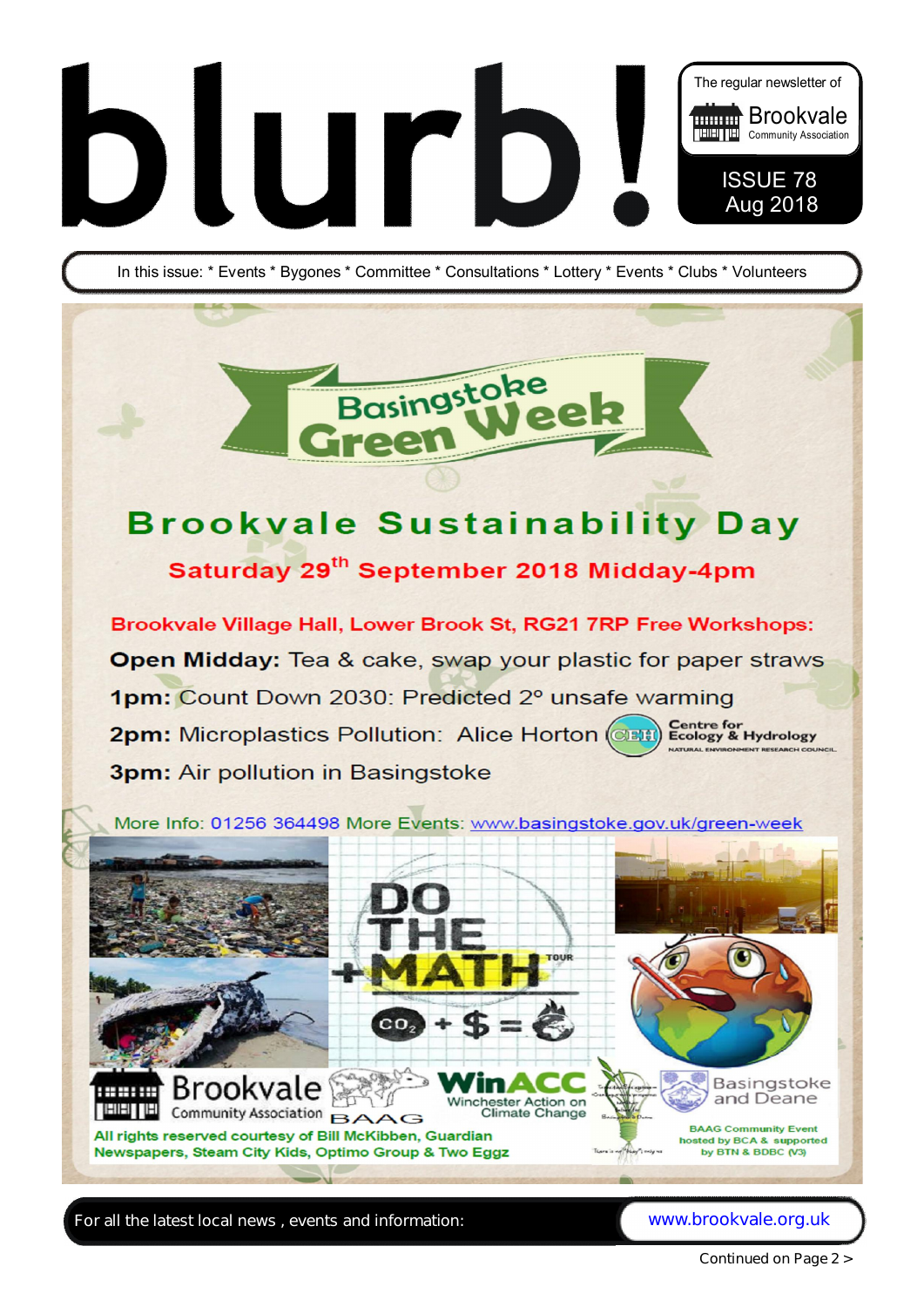

In this issue: \* Events \* Bygones \* Committee \* Consultations \* Lottery \* Events \* Clubs \* Volunteers

Basingstoke

reet

# **Brookvale Sustainability Day** Saturday 29<sup>th</sup> September 2018 Midday-4pm

Brookvale Village Hall, Lower Brook St, RG21 7RP Free Workshops: Open Midday: Tea & cake, swap your plastic for paper straws 1pm: Count Down 2030: Predicted 2° unsafe warming **Centre for<br>Ecology & Hydrology** 2pm: Microplastics Pollution: Alice Horton (CELE) **3pm:** Air pollution in Basingstoke

More Info: 01256 364498 More Events: www.basingstoke.gov.uk/green-week



**For all the latest local news , events and information: www.brookvale.org.uk**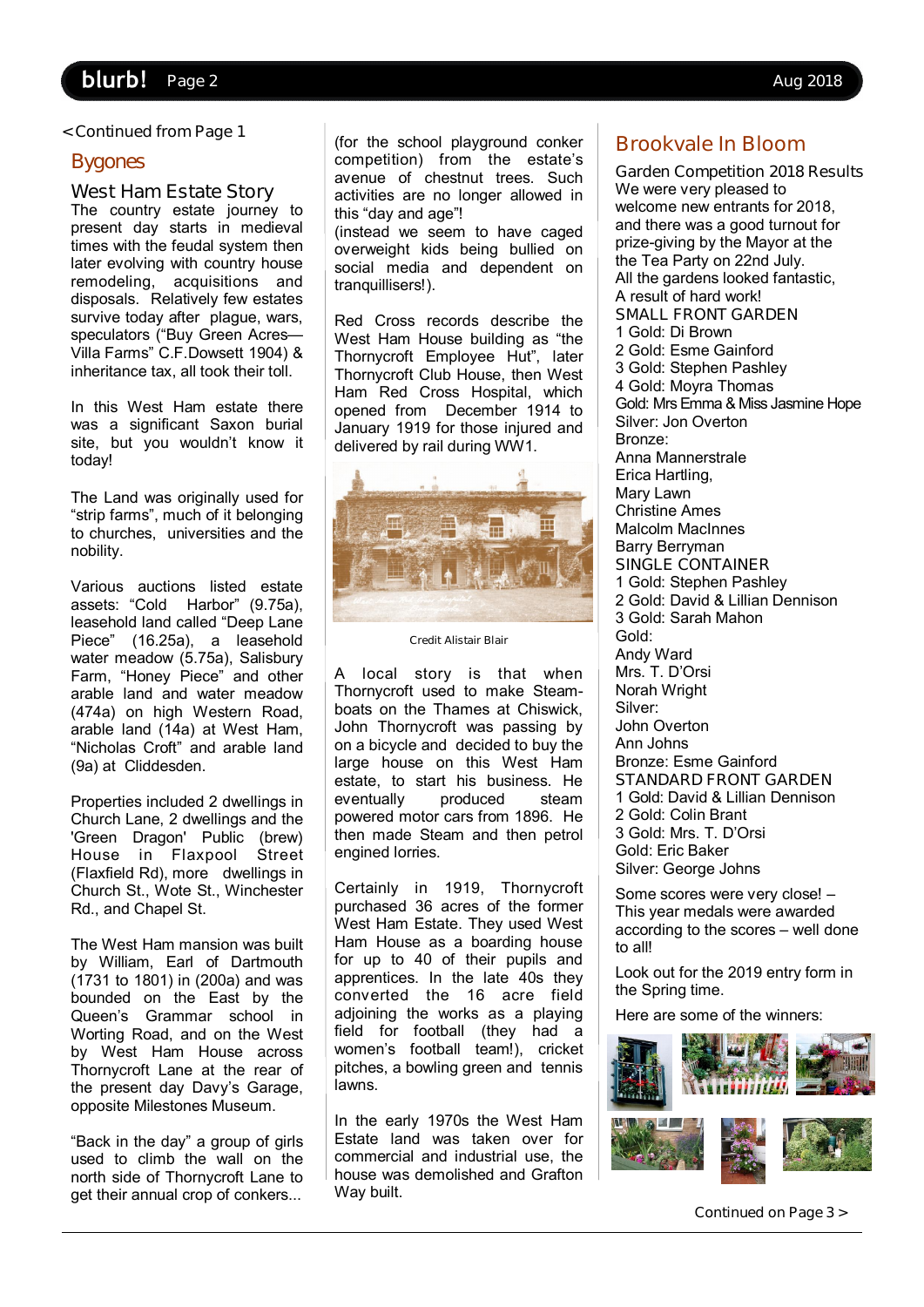# blurb!

# **Bygones**

# **West Ham Estate Story**

The country estate journey to present day starts in medieval times with the feudal system then later evolving with country house remodeling, acquisitions and disposals. Relatively few estates survive today after plague, wars, speculators ("Buy Green Acres— Villa Farms" C.F.Dowsett 1904) & inheritance tax, all took their toll.

In this West Ham estate there was a significant Saxon burial site, but you wouldn't know it today!

The Land was originally used for "strip farms", much of it belonging to churches, universities and the nobility.

Various auctions listed estate assets: "Cold Harbor" (9.75a), leasehold land called "Deep Lane Piece" (16.25a), a leasehold water meadow (5.75a), Salisbury Farm, "Honey Piece" and other arable land and water meadow (474a) on high Western Road, arable land (14a) at West Ham, "Nicholas Croft" and arable land (9a) at Cliddesden.

Properties included 2 dwellings in Church Lane, 2 dwellings and the 'Green Dragon' Public (brew) House in Flaxpool Street (Flaxfield Rd), more dwellings in Church St., Wote St., Winchester Rd., and Chapel St.

The West Ham mansion was built by William, Earl of Dartmouth (1731 to 1801) in (200a) and was bounded on the East by the Queen's Grammar school in Worting Road, and on the West by West Ham House across Thornycroft Lane at the rear of the present day Davy's Garage, opposite Milestones Museum.

"Back in the day" a group of girls used to climb the wall on the north side of Thornycroft Lane to get their annual crop of conkers...

**< Continued from Page 1** (for the school playground conker competition) from the estate's avenue of chestnut trees. Such activities are no longer allowed in this "day and age"!

(instead we seem to have caged overweight kids being bullied on social media and dependent on tranquillisers!).

Red Cross records describe the West Ham House building as "the Thornycroft Employee Hut", later Thornycroft Club House, then West Ham Red Cross Hospital, which opened from December 1914 to January 1919 for those injured and delivered by rail during WW1.



**Credit Alistair Blair**

A local story is that when Thornycroft used to make Steamboats on the Thames at Chiswick, John Thornycroft was passing by on a bicycle and decided to buy the large house on this West Ham estate, to start his business. He eventually produced steam powered motor cars from 1896. He then made Steam and then petrol engined lorries.

Certainly in 1919, Thornycroft purchased 36 acres of the former West Ham Estate. They used West Ham House as a boarding house for up to 40 of their pupils and apprentices. In the late 40s they converted the 16 acre field adjoining the works as a playing field for football (they had a women's football team!), cricket pitches, a bowling green and tennis lawns.

In the early 1970s the West Ham Estate land was taken over for commercial and industrial use, the house was demolished and Grafton Way built.

# **Brookvale In Bloom**

### **Garden Competition 2018 Results**

We were very pleased to welcome new entrants for 2018, and there was a good turnout for prize-giving by the Mayor at the the Tea Party on 22nd July. All the gardens looked fantastic, A result of hard work!

**SMALL FRONT GARDEN**  1 Gold: Di Brown 2 Gold: Esme Gainford 3 Gold: Stephen Pashley 4 Gold: Moyra Thomas Gold: Mrs Emma & Miss Jasmine Hope Silver: Jon Overton Bronze: Anna Mannerstrale Erica Hartling, Mary Lawn Christine Ames Malcolm MacInnes Barry Berryman **SINGLE CONTAINER**  1 Gold: Stephen Pashley 2 Gold: David & Lillian Dennison 3 Gold: Sarah Mahon Gold: Andy Ward Mrs. T. D'Orsi Norah Wright Silver: John Overton Ann Johns Bronze: Esme Gainford **STANDARD FRONT GARDEN**  1 Gold: David & Lillian Dennison 2 Gold: Colin Brant 3 Gold: Mrs. T. D'Orsi Gold: Eric Baker Silver: George Johns

Some scores were very close! – This year medals were awarded according to the scores – well done to all!

Look out for the 2019 entry form in the Spring time.

Here are some of the winners:



**Continued on Page 3 >**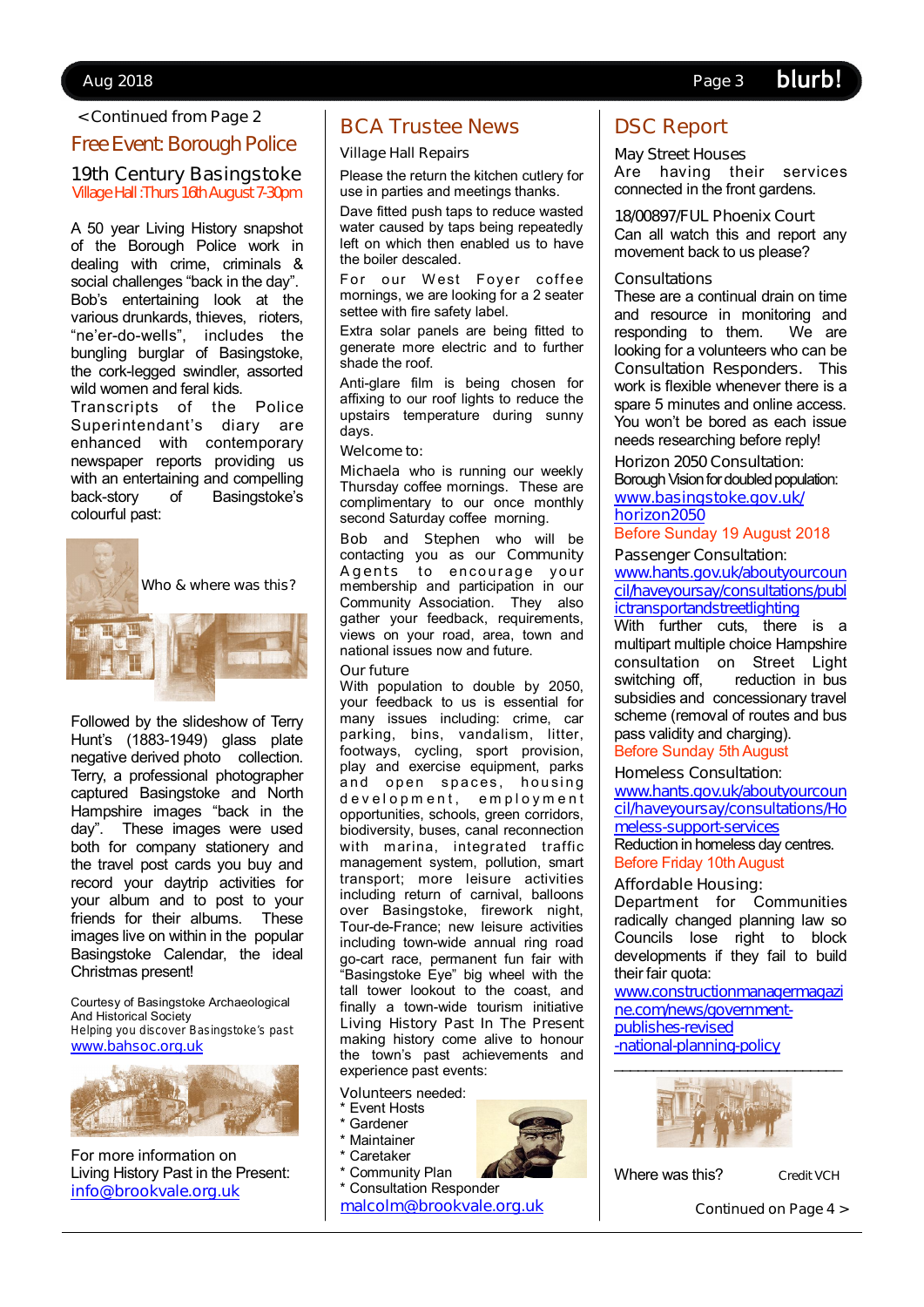**< Continued from Page 2**

# **Free Event: Borough Police**

# **19th Century Basingstoke Village Hall :Thurs 16th August 7-30pm**

A 50 year Living History snapshot of the Borough Police work in dealing with crime, criminals & social challenges "back in the day". Bob's entertaining look at the various drunkards, thieves, rioters, "ne'er-do-wells", includes the bungling burglar of Basingstoke, the cork-legged swindler, assorted wild women and feral kids.

Transcripts of the Police Superintendant's diary are enhanced with contemporary newspaper reports providing us with an entertaining and compelling back-story of Basingstoke's colourful past:



Followed by the slideshow of Terry Hunt's (1883-1949) glass plate negative derived photo collection. Terry, a professional photographer captured Basingstoke and North Hampshire images "back in the day". These images were used both for company stationery and the travel post cards you buy and record your daytrip activities for your album and to post to your friends for their albums. These images live on within in the popular Basingstoke Calendar, the ideal Christmas present!

Courtesy of Basingstoke Archaeological And Historical Society *Helping you discover Basingstoke's past*  **www.bahsoc.org.uk**



For more information on Living History Past in the Present: **info@brookvale.org.uk**

# **BCA Trustee News**

### **Village Hall Repairs**

Please the return the kitchen cutlery for use in parties and meetings thanks.

Dave fitted push taps to reduce wasted water caused by taps being repeatedly left on which then enabled us to have the boiler descaled.

For our West Fover coffee mornings, we are looking for a 2 seater settee with fire safety label.

Extra solar panels are being fitted to generate more electric and to further shade the roof.

Anti-glare film is being chosen for affixing to our roof lights to reduce the upstairs temperature during sunny days.

#### **Welcome to:**

**Michaela** who is running our weekly Thursday coffee mornings. These are complimentary to our once monthly second Saturday coffee morning.

**Bob and Stephen** who will be contacting you as our **Community**  A gents to encourage your membership and participation in our Community Association. They also gather your feedback, requirements, views on your road, area, town and national issues now and future.

#### **Our future**

With population to double by 2050, your feedback to us is essential for many issues including: crime, car parking, bins, vandalism, litter, footways, cycling, sport provision, play and exercise equipment, parks and open spaces, housing d e v e l o p m e n t, e m p l o y m e n t opportunities, schools, green corridors, biodiversity, buses, canal reconnection with marina, integrated traffic management system, pollution, smart transport; more leisure activities including return of carnival, balloons over Basingstoke, firework night, Tour-de-France; new leisure activities including town-wide annual ring road go-cart race, permanent fun fair with "Basingstoke Eye" big wheel with the tall tower lookout to the coast, and finally a town-wide tourism initiative **Living History Past In The Present** making history come alive to honour the town's past achievements and experience past events:

# **Volunteers** needed:

- **Event Hosts**
- **Gardener**
- **Maintainer**
- \* Caretaker
- Community Plan



\* Consultation Responder

**malcolm@brookvale.org.uk**

# **DSC Report**

# **May Street Houses**

Are having their services connected in the front gardens.

#### **18/00897/FUL Phoenix Court**

Can all watch this and report any movement back to us please?

### **Consultations**

These are a continual drain on time and resource in monitoring and<br>responding to them. We are responding to them. looking for a volunteers who can be **Consultation Responders.** This work is flexible whenever there is a spare 5 minutes and online access. You won't be bored as each issue needs researching before reply!

#### **Horizon 2050 Consultation**:

Borough Vision for doubled population: **www.basingstoke.gov.uk/ horizon2050**

Before Sunday 19 August 2018

# **Passenger Consultation**:

**www.hants.gov.uk/aboutyourcoun cil/haveyoursay/consultations/publ ictransportandstreetlighting**

With further cuts, there is a multipart multiple choice Hampshire consultation on Street Light switching off, reduction in bus subsidies and concessionary travel scheme (removal of routes and bus pass validity and charging). Before Sunday 5th August

### **Homeless Consultation**:

**www.hants.gov.uk/aboutyourcoun cil/haveyoursay/consultations/Ho meless-support-services** Reduction in homeless day centres. Before Friday 10th August

#### **Affordable Housing:**

Department for Communities radically changed planning law so Councils lose right to block developments if they fail to build their fair quota:

**www.constructionmanagermagazi ne.com/news/governmentpublishes-revised -national-planning-policy**

\_\_\_\_\_\_\_\_\_\_\_\_\_\_\_\_\_\_\_\_\_\_\_\_\_\_\_\_\_



Where was this? **Credit VCH**

 **Continued on Page 4 >**